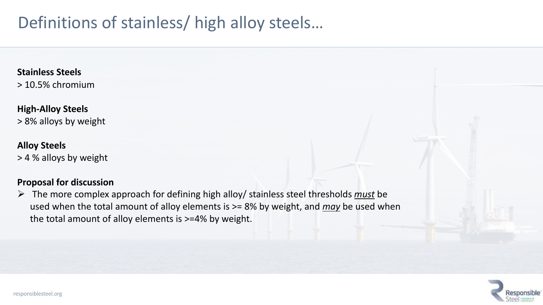## Definitions of stainless/ high alloy steels…

**Stainless Steels**

> 10.5% chromium

### **High-Alloy Steels**

> 8% alloys by weight

### **Alloy Steels**

> 4 % alloys by weight

### **Proposal for discussion**

Ø The more complex approach for defining high alloy/ stainless steel thresholds *must* be used when the total amount of alloy elements is >= 8% by weight, and *may* be used when the total amount of alloy elements is >=4% by weight.

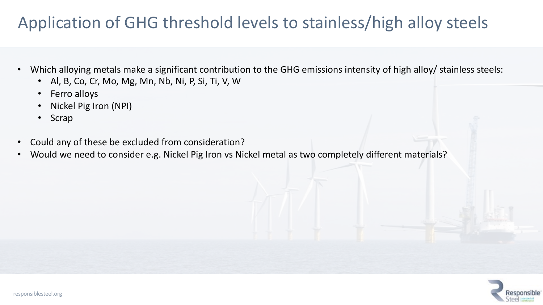# Application of GHG threshold levels to stainless/high alloy steels

- Which alloying metals make a significant contribution to the GHG emissions intensity of high alloy/ stainless steels:
	- Al, B, Co, Cr, Mo, Mg, Mn, Nb, Ni, P, Si, Ti, V, W
	- Ferro alloys
	- Nickel Pig Iron (NPI)
	- Scrap
- Could any of these be excluded from consideration?
- Would we need to consider e.g. Nickel Pig Iron vs Nickel metal as two completely different materials?

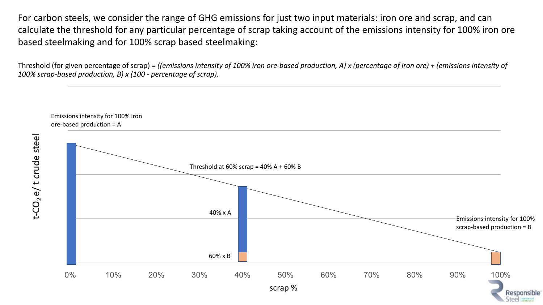For carbon steels, we consider the range of GHG emissions for just two input materials: iron ore and scrap, and can calculate the threshold for any particular percentage of scrap taking account of the emissions intensity for 100% iron ore based steelmaking and for 100% scrap based steelmaking:

Threshold (for given percentage of scrap) = *((emissions intensity of 100% iron ore-based production, A) x (percentage of iron ore) + (emissions intensity of 100% scrap-based production, B) x (100 - percentage of scrap).*

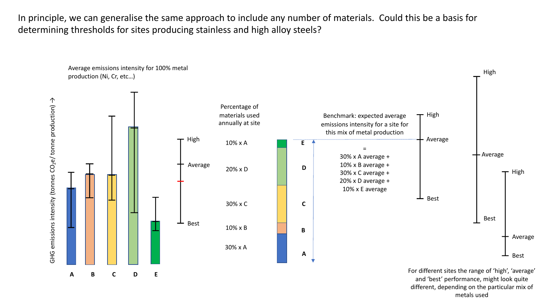In principle, we can generalise the same approach to include any number of materials. Could this be a basis for determining thresholds for sites producing stainless and high alloy steels?



and 'best' performance, might look quite different, depending on the particular mix of metals used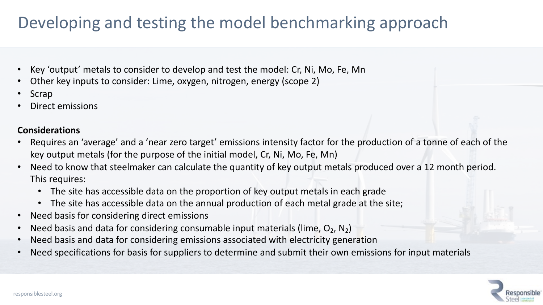## Developing and testing the model benchmarking approach

- Key 'output' metals to consider to develop and test the model: Cr, Ni, Mo, Fe, Mn
- Other key inputs to consider: Lime, oxygen, nitrogen, energy (scope 2)
- **Scrap**
- Direct emissions

### **Considerations**

- Requires an 'average' and a 'near zero target' emissions intensity factor for the production of a tonne of each of the key output metals (for the purpose of the initial model, Cr, Ni, Mo, Fe, Mn)
- Need to know that steelmaker can calculate the quantity of key output metals produced over a 12 month period. This requires:
	- The site has accessible data on the proportion of key output metals in each grade
	- The site has accessible data on the annual production of each metal grade at the site;
- Need basis for considering direct emissions
- Need basis and data for considering consumable input materials (lime,  $O_2$ , N<sub>2</sub>)
- Need basis and data for considering emissions associated with electricity generation
- Need specifications for basis for suppliers to determine and submit their own emissions for input materials

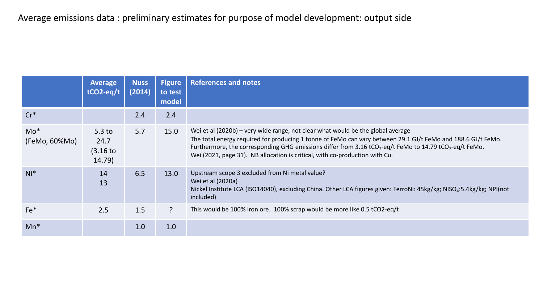### Average emissions data : preliminary estimates for purpose of model development: output side

|                         | <b>Average</b><br>$tCO2-eq/t$                 | <b>Nuss</b><br>(2014) | <b>Figure</b><br>to test<br>model | <b>References and notes</b>                                                                                                                                                                                                                                                                                                                                                                                       |
|-------------------------|-----------------------------------------------|-----------------------|-----------------------------------|-------------------------------------------------------------------------------------------------------------------------------------------------------------------------------------------------------------------------------------------------------------------------------------------------------------------------------------------------------------------------------------------------------------------|
| $Cr^*$                  |                                               | 2.4                   | 2.4                               |                                                                                                                                                                                                                                                                                                                                                                                                                   |
| $Mo^*$<br>(FeMo, 60%Mo) | 5.3 <sub>to</sub><br>24.7<br>(3.16)<br>14.79) | 5.7                   | 15.0                              | Wei et al (2020b) – very wide range, not clear what would be the global average<br>The total energy required for producing 1 tonne of FeMo can vary between 29.1 GJ/t FeMo and 188.6 GJ/t FeMo.<br>Furthermore, the corresponding GHG emissions differ from 3.16 tCO <sub>2</sub> -eq/t FeMo to 14.79 tCO <sub>2</sub> -eq/t FeMo.<br>Wei (2021, page 31). NB allocation is critical, with co-production with Cu. |
| $Ni*$                   | 14<br>13                                      | 6.5                   | 13.0                              | Upstream scope 3 excluded from Ni metal value?<br>Wei et al (2020a)<br>Nickel Institute LCA (ISO14040), excluding China. Other LCA figures given: FerroNi: 45kg/kg; NISO <sub>4</sub> :5.4kg/kg; NPI(not<br>included)                                                                                                                                                                                             |
| $Fe*$                   | 2.5                                           | 1.5                   | $\mathbf{P}$                      | This would be 100% iron ore. 100% scrap would be more like 0.5 tCO2-eq/t                                                                                                                                                                                                                                                                                                                                          |
| $Mn^*$                  |                                               | 1.0                   | 1.0                               |                                                                                                                                                                                                                                                                                                                                                                                                                   |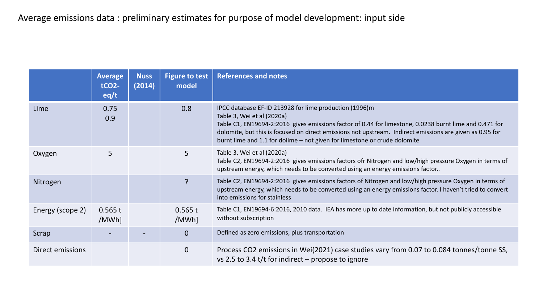|                  | <b>Average</b><br><b>tCO2-</b><br>eq/t | <b>Nuss</b><br>(2014) | <b>Figure to test</b><br>model | <b>References and notes</b>                                                                                                                                                                                                                                                                                                                                                             |
|------------------|----------------------------------------|-----------------------|--------------------------------|-----------------------------------------------------------------------------------------------------------------------------------------------------------------------------------------------------------------------------------------------------------------------------------------------------------------------------------------------------------------------------------------|
| Lime             | 0.75<br>0.9                            |                       | 0.8                            | IPCC database EF-ID 213928 for lime production (1996)m<br>Table 3, Wei et al (2020a)<br>Table C1, EN19694-2:2016 gives emissions factor of 0.44 for limestone, 0.0238 burnt lime and 0.471 for<br>dolomite, but this is focused on direct emissions not upstream. Indirect emissions are given as 0.95 for<br>burnt lime and 1.1 for dolime - not given for limestone or crude dolomite |
| Oxygen           | 5                                      |                       | 5                              | Table 3, Wei et al (2020a)<br>Table C2, EN19694-2:2016 gives emissions factors ofr Nitrogen and low/high pressure Oxygen in terms of<br>upstream energy, which needs to be converted using an energy emissions factor                                                                                                                                                                   |
| Nitrogen         |                                        |                       | ?                              | Table C2, EN19694-2:2016 gives emissions factors of Nitrogen and low/high pressure Oxygen in terms of<br>upstream energy, which needs to be converted using an energy emissions factor. I haven't tried to convert<br>into emissions for stainless                                                                                                                                      |
| Energy (scope 2) | 0.565 t<br>/MWh]                       |                       | 0.565 t<br>/MWh]               | Table C1, EN19694-6:2016, 2010 data. IEA has more up to date information, but not publicly accessible<br>without subscription                                                                                                                                                                                                                                                           |
| Scrap            |                                        |                       | $\overline{0}$                 | Defined as zero emissions, plus transportation                                                                                                                                                                                                                                                                                                                                          |
| Direct emissions |                                        |                       | $\mathbf 0$                    | Process CO2 emissions in Wei(2021) case studies vary from 0.07 to 0.084 tonnes/tonne SS,<br>vs 2.5 to 3.4 t/t for indirect – propose to ignore                                                                                                                                                                                                                                          |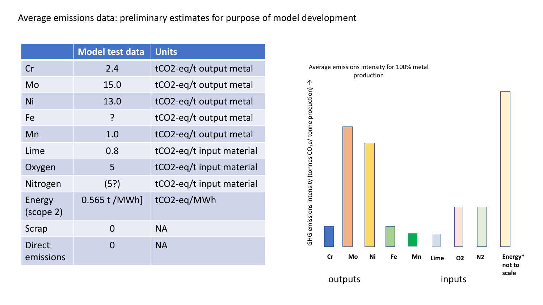#### Average emissions data: preliminary estimates for purpose of model development

|                            | <b>Model test data</b> | <b>Units</b>             |
|----------------------------|------------------------|--------------------------|
| Cr                         | 2.4                    | tCO2-eq/t output metal   |
| Mo                         | 15.0                   | tCO2-eq/t output metal   |
| Ni                         | 13.0                   | tCO2-eq/t output metal   |
| Fe                         | ?                      | tCO2-eq/t output metal   |
| Mn                         | 1.0                    | tCO2-eq/t output metal   |
| Lime                       | 0.8                    | tCO2-eq/t input material |
| Oxygen                     | 5                      | tCO2-eq/t input material |
| Nitrogen                   | (5?)                   | tCO2-eq/t input material |
| Energy<br>(scope 2)        | 0.565 t / MWh]         | tCO2-eq/MWh              |
| Scrap                      | 0                      | <b>NA</b>                |
| <b>Direct</b><br>emissions | 0                      | <b>NA</b>                |

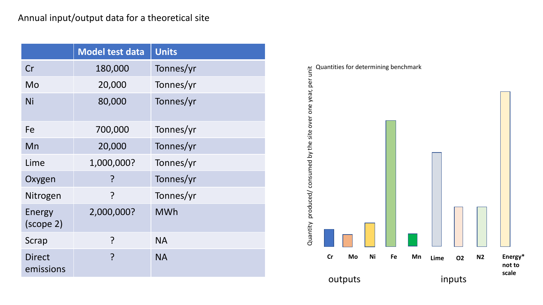### Annual input/output data for a theoretical site

|                            | <b>Model test data</b> | <b>Units</b> |
|----------------------------|------------------------|--------------|
| Cr                         | 180,000                | Tonnes/yr    |
| Mo                         | 20,000                 | Tonnes/yr    |
| Ni                         | 80,000                 | Tonnes/yr    |
| Fe                         | 700,000                | Tonnes/yr    |
| Mn                         | 20,000                 | Tonnes/yr    |
| Lime                       | 1,000,000?             | Tonnes/yr    |
| Oxygen                     | ?                      | Tonnes/yr    |
| Nitrogen                   | ?                      | Tonnes/yr    |
| Energy<br>(scope 2)        | 2,000,000?             | <b>MWh</b>   |
| Scrap                      | ?                      | <b>NA</b>    |
| <b>Direct</b><br>emissions | ?                      | <b>NA</b>    |